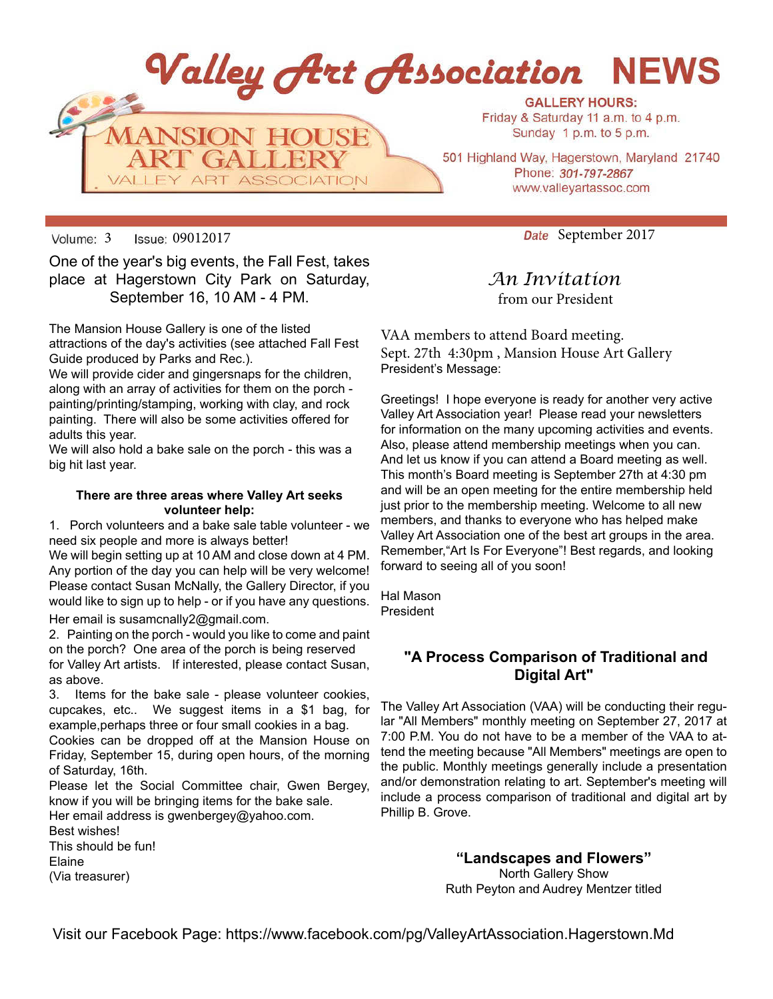

Volume: 3 Issue: 09012017 Columbus 2017

One of the year's big events, the Fall Fest, takes place at Hagerstown City Park on Saturday, September 16, 10 AM - 4 PM.

The Mansion House Gallery is one of the listed attractions of the day's activities (see attached Fall Fest Guide produced by Parks and Rec.).

We will provide cider and gingersnaps for the children, along with an array of activities for them on the porch painting/printing/stamping, working with clay, and rock painting. There will also be some activities offered for adults this year.

We will also hold a bake sale on the porch - this was a big hit last year.

### **There are three areas where Valley Art seeks volunteer help:**

1. Porch volunteers and a bake sale table volunteer - we need six people and more is always better!

We will begin setting up at 10 AM and close down at 4 PM. Any portion of the day you can help will be very welcome! Please contact Susan McNally, the Gallery Director, if you would like to sign up to help - or if you have any questions. Her email is susamcnally2@gmail.com.

2. Painting on the porch - would you like to come and paint on the porch? One area of the porch is being reserved for Valley Art artists. If interested, please contact Susan,

as above.

3. Items for the bake sale - please volunteer cookies, cupcakes, etc.. We suggest items in a \$1 bag, for example,perhaps three or four small cookies in a bag. Cookies can be dropped off at the Mansion House on Friday, September 15, during open hours, of the morning of Saturday, 16th.

Please let the Social Committee chair, Gwen Bergey, know if you will be bringing items for the bake sale.

Her email address is gwenbergey@yahoo.com. Best wishes! This should be fun! Elaine

(Via treasurer)

*An Invitation* from our President

VAA members to attend Board meeting. Sept. 27th 4:30pm , Mansion House Art Gallery President's Message:

Greetings! I hope everyone is ready for another very active Valley Art Association year! Please read your newsletters for information on the many upcoming activities and events. Also, please attend membership meetings when you can. And let us know if you can attend a Board meeting as well. This month's Board meeting is September 27th at 4:30 pm and will be an open meeting for the entire membership held just prior to the membership meeting. Welcome to all new members, and thanks to everyone who has helped make Valley Art Association one of the best art groups in the area. Remember,"Art Is For Everyone"! Best regards, and looking forward to seeing all of you soon!

Hal Mason President

# **"A Process Comparison of Traditional and Digital Art"**

The Valley Art Association (VAA) will be conducting their regular "All Members" monthly meeting on September 27, 2017 at 7:00 P.M. You do not have to be a member of the VAA to attend the meeting because "All Members" meetings are open to the public. Monthly meetings generally include a presentation and/or demonstration relating to art. September's meeting will include a process comparison of traditional and digital art by Phillip B. Grove.

> **"Landscapes and Flowers"** North Gallery Show Ruth Peyton and Audrey Mentzer titled

Visit our Facebook Page: https://www.facebook.com/pg/ValleyArtAssociation.Hagerstown.Md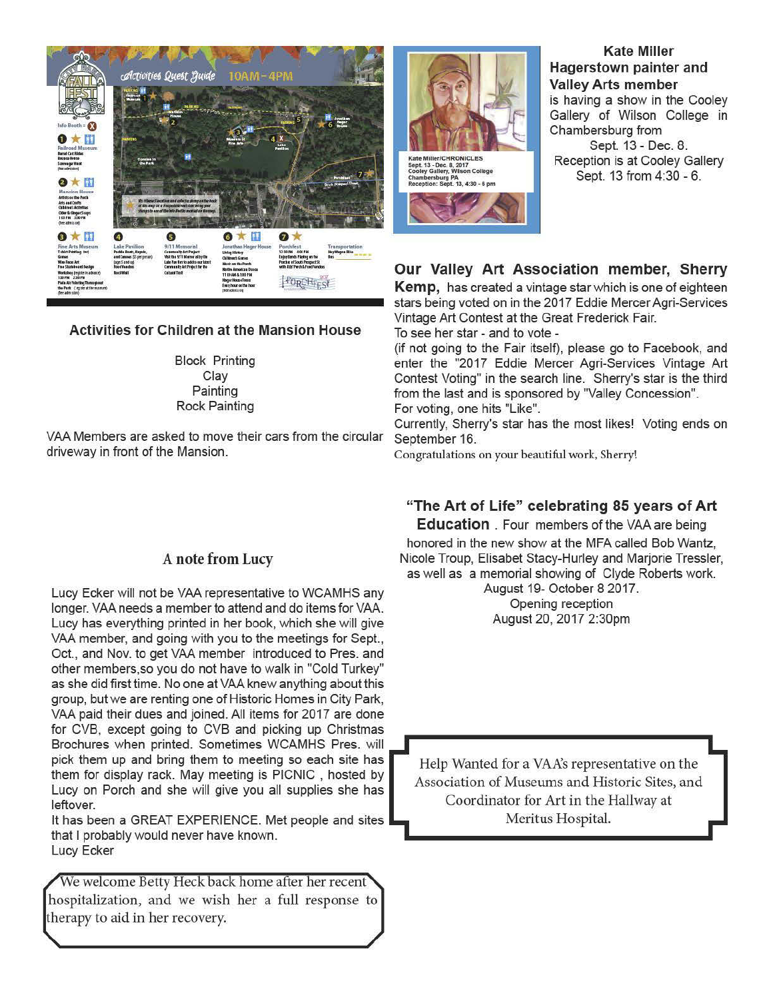

## **Activities for Children at the Mansion House**

**Block Printing** Clay Painting **Rock Painting** 

VAA Members are asked to move their cars from the circular driveway in front of the Mansion.

# A note from Lucy

Lucy Ecker will not be VAA representative to WCAMHS any longer. VAA needs a member to attend and do items for VAA. Lucy has everything printed in her book, which she will give VAA member, and going with you to the meetings for Sept., Oct., and Nov. to get VAA member introduced to Pres. and other members, so you do not have to walk in "Cold Turkey" as she did first time. No one at VAA knew anything about this group, but we are renting one of Historic Homes in City Park, VAA paid their dues and joined. All items for 2017 are done for CVB, except going to CVB and picking up Christmas Brochures when printed. Sometimes WCAMHS Pres. will pick them up and bring them to meeting so each site has them for display rack. May meeting is PICNIC, hosted by Lucy on Porch and she will give you all supplies she has leftover.

It has been a GREAT EXPERIENCE. Met people and sites that I probably would never have known. Lucy Ecker

We welcome Betty Heck back home after her recent hospitalization, and we wish her a full response to therapy to aid in her recovery.



Cooley Gallery, Wilson College<br>Chambersburg PA<br>Reception: Sept. 13, 4:30 - 6 pm



**Kate Miller** Hagerstown painter and

# Our Valley Art Association member, Sherry

Kemp, has created a vintage star which is one of eighteen stars being voted on in the 2017 Eddie Mercer Agri-Services Vintage Art Contest at the Great Frederick Fair.

To see her star - and to vote -

(if not going to the Fair itself), please go to Facebook, and enter the "2017 Eddie Mercer Agri-Services Vintage Art Contest Voting" in the search line. Sherry's star is the third from the last and is sponsored by "Valley Concession". For voting, one hits "Like".

Currently, Sherry's star has the most likes! Voting ends on September 16.

Congratulations on your beautiful work, Sherry!

# "The Art of Life" celebrating 85 years of Art

**Education** . Four members of the VAA are being honored in the new show at the MFA called Bob Wantz, Nicole Troup, Elisabet Stacy-Hurley and Marjorie Tressler, as well as a memorial showing of Clyde Roberts work.

August 19- October 8 2017. Opening reception August 20, 2017 2:30pm

Help Wanted for a VAA's representative on the Association of Museums and Historic Sites, and Coordinator for Art in the Hallway at Meritus Hospital.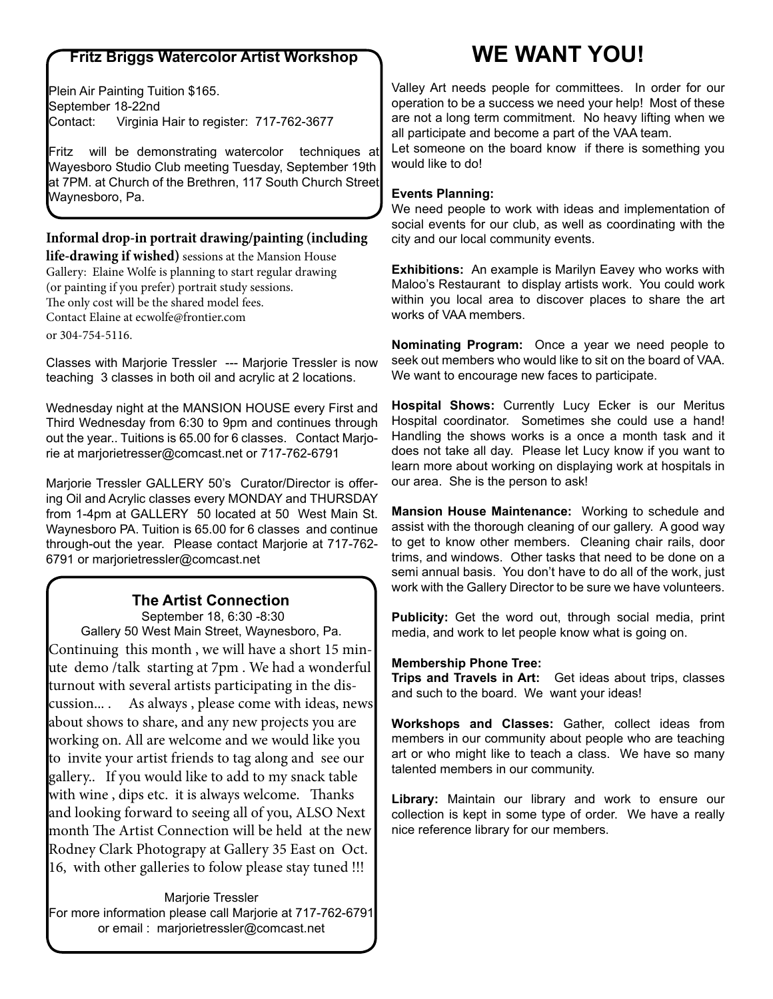# **Fritz Briggs Watercolor Artist Workshop**

Plein Air Painting Tuition \$165. September 18-22nd Contact: Virginia Hair to register: 717-762-3677

Fritz will be demonstrating watercolor techniques at Wayesboro Studio Club meeting Tuesday, September 19th at 7PM. at Church of the Brethren, 117 South Church Street Waynesboro, Pa.

## **Informal drop-in portrait drawing/painting (including**

**life-drawing if wished)** sessions at the Mansion House Gallery: Elaine Wolfe is planning to start regular drawing (or painting if you prefer) portrait study sessions. The only cost will be the shared model fees. Contact Elaine at ecwolfe@frontier.com or 304-754-5116.

Classes with Marjorie Tressler --- Marjorie Tressler is now teaching 3 classes in both oil and acrylic at 2 locations.

Wednesday night at the MANSION HOUSE every First and Third Wednesday from 6:30 to 9pm and continues through out the year.. Tuitions is 65.00 for 6 classes. Contact Marjorie at marjorietresser@comcast.net or 717-762-6791

Marjorie Tressler GALLERY 50's Curator/Director is offering Oil and Acrylic classes every MONDAY and THURSDAY from 1-4pm at GALLERY 50 located at 50 West Main St. Waynesboro PA. Tuition is 65.00 for 6 classes and continue through-out the year. Please contact Marjorie at 717-762- 6791 or marjorietressler@comcast.net

# **The Artist Connection**

 September 18, 6:30 -8:30 Gallery 50 West Main Street, Waynesboro, Pa. Continuing this month , we will have a short 15 minute demo /talk starting at 7pm . We had a wonderful turnout with several artists participating in the discussion... . As always , please come with ideas, news about shows to share, and any new projects you are working on. All are welcome and we would like you to invite your artist friends to tag along and see our gallery.. If you would like to add to my snack table with wine , dips etc. it is always welcome. Thanks and looking forward to seeing all of you, ALSO Next month The Artist Connection will be held at the new Rodney Clark Photograpy at Gallery 35 East on Oct. 16, with other galleries to folow please stay tuned !!!

Marjorie Tressler For more information please call Marjorie at 717-762-6791 or email : marjorietressler@comcast.net

# **WE WANT YOU!**

Valley Art needs people for committees. In order for our operation to be a success we need your help! Most of these are not a long term commitment. No heavy lifting when we all participate and become a part of the VAA team.

Let someone on the board know if there is something you would like to do!

## **Events Planning:**

We need people to work with ideas and implementation of social events for our club, as well as coordinating with the city and our local community events.

**Exhibitions:** An example is Marilyn Eavey who works with Maloo's Restaurant to display artists work. You could work within you local area to discover places to share the art works of VAA members.

**Nominating Program:** Once a year we need people to seek out members who would like to sit on the board of VAA. We want to encourage new faces to participate.

**Hospital Shows:** Currently Lucy Ecker is our Meritus Hospital coordinator. Sometimes she could use a hand! Handling the shows works is a once a month task and it does not take all day. Please let Lucy know if you want to learn more about working on displaying work at hospitals in our area. She is the person to ask!

**Mansion House Maintenance:** Working to schedule and assist with the thorough cleaning of our gallery. A good way to get to know other members. Cleaning chair rails, door trims, and windows. Other tasks that need to be done on a semi annual basis. You don't have to do all of the work, just work with the Gallery Director to be sure we have volunteers.

**Publicity:** Get the word out, through social media, print media, and work to let people know what is going on.

## **Membership Phone Tree:**

**Trips and Travels in Art:** Get ideas about trips, classes and such to the board. We want your ideas!

**Workshops and Classes:** Gather, collect ideas from members in our community about people who are teaching art or who might like to teach a class. We have so many talented members in our community.

**Library:** Maintain our library and work to ensure our collection is kept in some type of order. We have a really nice reference library for our members.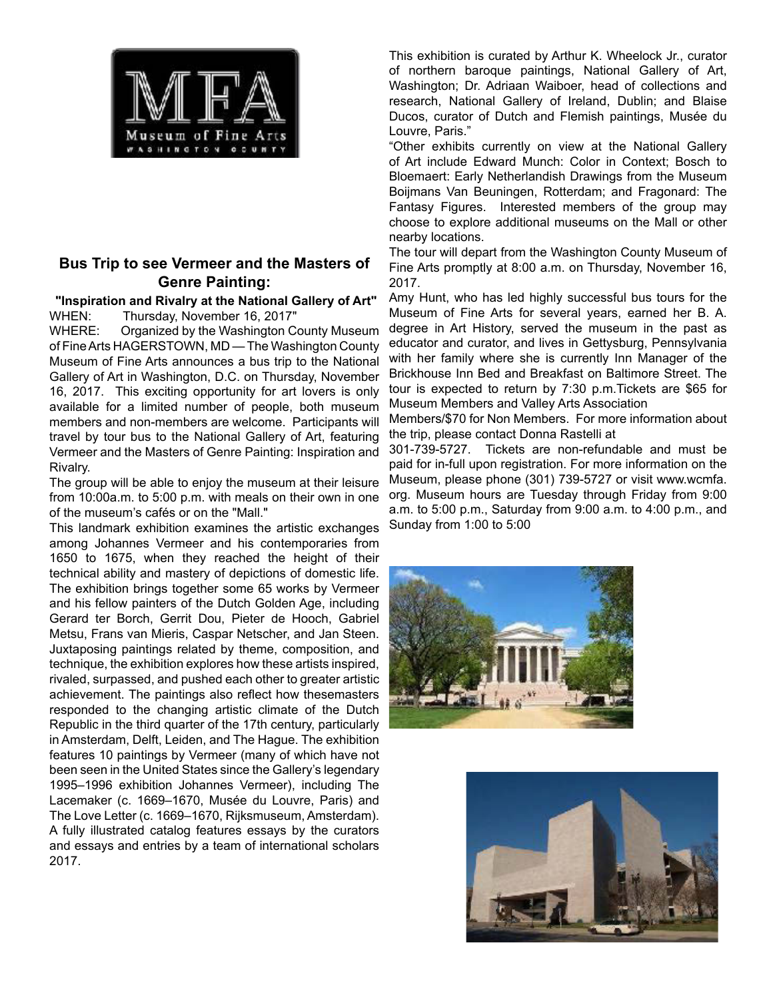

# **Bus Trip to see Vermeer and the Masters of Genre Painting:**

 **"Inspiration and Rivalry at the National Gallery of Art"** WHEN: Thursday, November 16, 2017"

WHERE: Organized by the Washington County Museum of Fine Arts HAGERSTOWN, MD — The Washington County Museum of Fine Arts announces a bus trip to the National Gallery of Art in Washington, D.C. on Thursday, November 16, 2017. This exciting opportunity for art lovers is only available for a limited number of people, both museum members and non-members are welcome. Participants will travel by tour bus to the National Gallery of Art, featuring Vermeer and the Masters of Genre Painting: Inspiration and Rivalry.

The group will be able to enjoy the museum at their leisure from 10:00a.m. to 5:00 p.m. with meals on their own in one of the museum's cafés or on the "Mall."

This landmark exhibition examines the artistic exchanges among Johannes Vermeer and his contemporaries from 1650 to 1675, when they reached the height of their technical ability and mastery of depictions of domestic life. The exhibition brings together some 65 works by Vermeer and his fellow painters of the Dutch Golden Age, including Gerard ter Borch, Gerrit Dou, Pieter de Hooch, Gabriel Metsu, Frans van Mieris, Caspar Netscher, and Jan Steen. Juxtaposing paintings related by theme, composition, and technique, the exhibition explores how these artists inspired, rivaled, surpassed, and pushed each other to greater artistic achievement. The paintings also reflect how thesemasters responded to the changing artistic climate of the Dutch Republic in the third quarter of the 17th century, particularly in Amsterdam, Delft, Leiden, and The Hague. The exhibition features 10 paintings by Vermeer (many of which have not been seen in the United States since the Gallery's legendary 1995–1996 exhibition Johannes Vermeer), including The Lacemaker (c. 1669–1670, Musée du Louvre, Paris) and The Love Letter (c. 1669–1670, Rijksmuseum, Amsterdam). A fully illustrated catalog features essays by the curators and essays and entries by a team of international scholars 2017.

This exhibition is curated by Arthur K. Wheelock Jr., curator of northern baroque paintings, National Gallery of Art, Washington; Dr. Adriaan Waiboer, head of collections and research, National Gallery of Ireland, Dublin; and Blaise Ducos, curator of Dutch and Flemish paintings, Musée du Louvre, Paris."

"Other exhibits currently on view at the National Gallery of Art include Edward Munch: Color in Context; Bosch to Bloemaert: Early Netherlandish Drawings from the Museum Boijmans Van Beuningen, Rotterdam; and Fragonard: The Fantasy Figures. Interested members of the group may choose to explore additional museums on the Mall or other nearby locations.

The tour will depart from the Washington County Museum of Fine Arts promptly at 8:00 a.m. on Thursday, November 16, 2017.

Amy Hunt, who has led highly successful bus tours for the Museum of Fine Arts for several years, earned her B. A. degree in Art History, served the museum in the past as educator and curator, and lives in Gettysburg, Pennsylvania with her family where she is currently Inn Manager of the Brickhouse Inn Bed and Breakfast on Baltimore Street. The tour is expected to return by 7:30 p.m.Tickets are \$65 for Museum Members and Valley Arts Association

Members/\$70 for Non Members. For more information about the trip, please contact Donna Rastelli at

301-739-5727. Tickets are non-refundable and must be paid for in-full upon registration. For more information on the Museum, please phone (301) 739-5727 or visit www.wcmfa. org. Museum hours are Tuesday through Friday from 9:00 a.m. to 5:00 p.m., Saturday from 9:00 a.m. to 4:00 p.m., and Sunday from 1:00 to 5:00